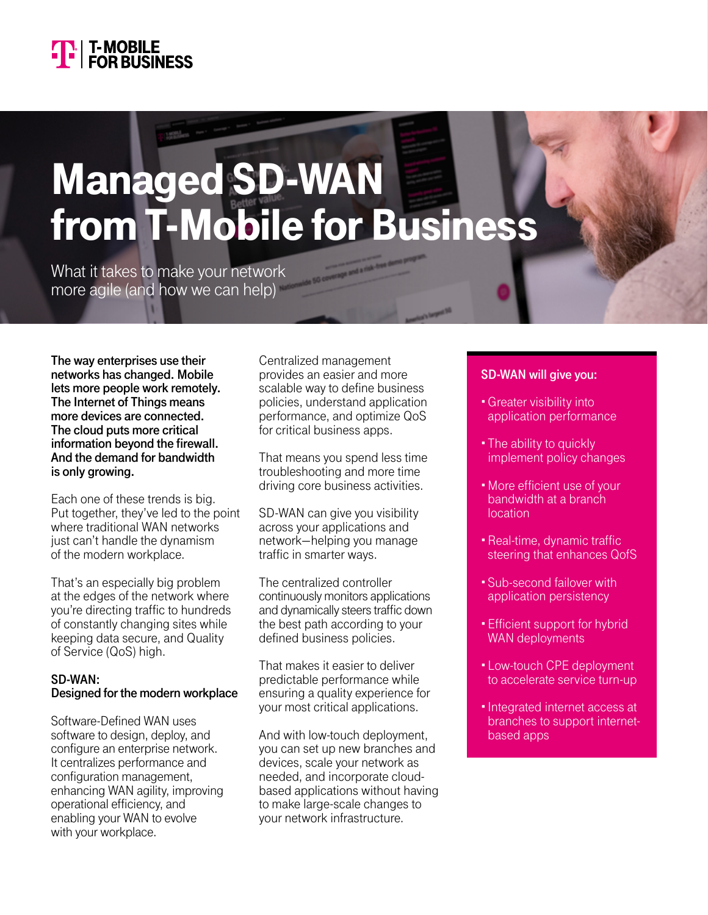

# Managed SD-WAN from T-Mobile for Business

What it takes to make your network more agile (and how we can help)

**The way enterprises use their networks has changed. Mobile lets more people work remotely. The Internet of Things means more devices are connected. The cloud puts more critical information beyond the firewall. And the demand for bandwidth is only growing.**

Each one of these trends is big. Put together, they've led to the point where traditional WAN networks just can't handle the dynamism of the modern workplace.

That's an especially big problem at the edges of the network where you're directing traffic to hundreds of constantly changing sites while keeping data secure, and Quality of Service (QoS) high.

### **SD-WAN: Designed for the modern workplace**

Software-Defined WAN uses software to design, deploy, and configure an enterprise network. It centralizes performance and configuration management, enhancing WAN agility, improving operational efficiency, and enabling your WAN to evolve with your workplace.

Centralized management provides an easier and more scalable way to define business policies, understand application performance, and optimize QoS for critical business apps.

That means you spend less time troubleshooting and more time driving core business activities.

SD-WAN can give you visibility across your applications and network—helping you manage traffic in smarter ways.

The centralized controller continuously monitors applications and dynamically steers traffic down the best path according to your defined business policies.

That makes it easier to deliver predictable performance while ensuring a quality experience for your most critical applications.

And with low-touch deployment, you can set up new branches and devices, scale your network as needed, and incorporate cloudbased applications without having to make large-scale changes to your network infrastructure.

## **SD-WAN will give you:**

- •Greater visibility into application performance
- The ability to quickly implement policy changes
- •More efficient use of your bandwidth at a branch location
- •Real-time, dynamic traffic steering that enhances QofS
- Sub-second failover with application persistency
- Efficient support for hybrid WAN deployments
- Low-touch CPE deployment to accelerate service turn-up
- •Integrated internet access at branches to support internetbased apps